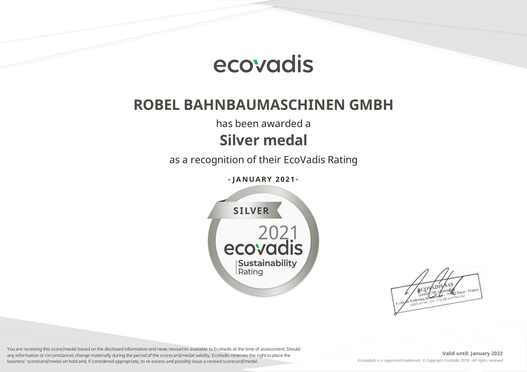

## **ROBEL BAHNBAUMASCHINEN GMBH**

has been awarded a

## **Silver medal**

as a recognition of their EcoVadis Rating

**- J ANUA RY 2 0 2 1 -**



You are receiving this score/medal based on the disclosed information and news resources available to EcoVadis at the time of assessment. Should any information or circumstances change materially during the period of the scorecard/medal validity, EcoVadis reserves the right to place the business' scorecard/medal on hold and, if considered appropriate, to re-assess and possibly issue a revised scorecard/medal.

**Valid until: January 2022** *EcoVadis® is a registered trademark. © Copyright EcoVadis 2018 - All rights reserved*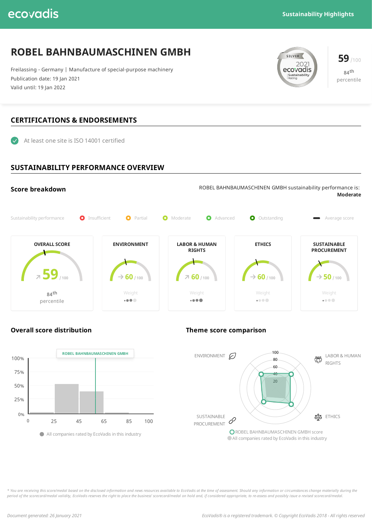## ecovadis

## **ROBEL BAHNBAUMASCHINEN GMBH**

Freilassing - Germany | Manufacture of special-purpose machinery Publication date: 19 Jan 2021 Valid until: 19 Jan 2022

# **59** /100<br>**2021 59** /100<br>**ecovadis** Sustainability

**84 th** percentile

### **CERTIFICATIONS & ENDORSEMENTS**

At least one site is ISO 14001 certified

#### **SUSTAINABILITY PERFORMANCE OVERVIEW**





#### **Overall score distribution Theme score comparison**



\* You are receiving this score/medal based on the disclosed information and news resources available to EcoVadis at the time of assessment. Should any information or circumstances change materially during the period of the scorecard/medal validity, EcoVadis reserves the right to place the business' scorecard/medal on hold and, if considered appropriate, to re-assess and possibly issue a revised scorecard/medal.